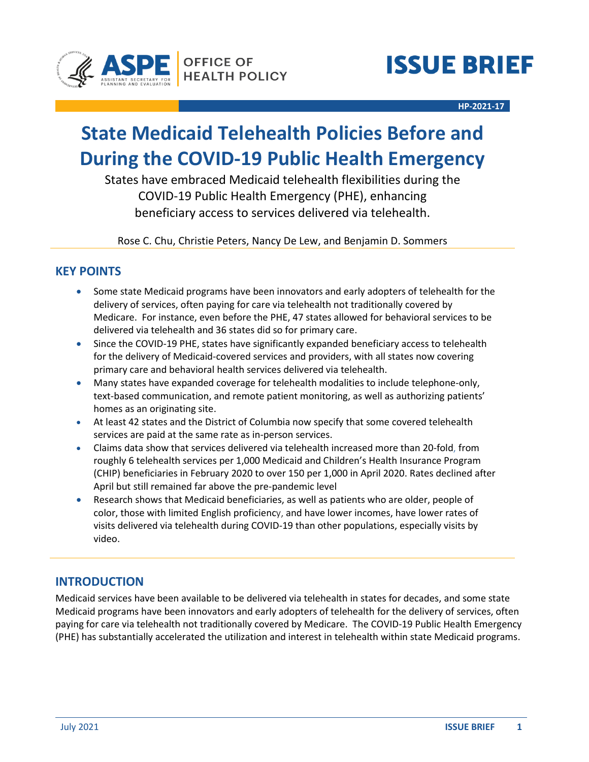



**HP-2021-17**

# **State Medicaid Telehealth Policies Before and During the COVID-19 Public Health Emergency**

States have embraced Medicaid telehealth flexibilities during the COVID-19 Public Health Emergency (PHE), enhancing beneficiary access to services delivered via telehealth.

Rose C. Chu, Christie Peters, Nancy De Lew, and Benjamin D. Sommers

### **KEY POINTS**

- Some state Medicaid programs have been innovators and early adopters of telehealth for the delivery of services, often paying for care via telehealth not traditionally covered by Medicare. For instance, even before the PHE, 47 states allowed for behavioral services to be delivered via telehealth and 36 states did so for primary care.
- Since the COVID-19 PHE, states have significantly expanded beneficiary access to telehealth for the delivery of Medicaid-covered services and providers, with all states now covering primary care and behavioral health services delivered via telehealth.
- Many states have expanded coverage for telehealth modalities to include telephone-only, text-based communication, and remote patient monitoring, as well as authorizing patients' homes as an originating site.
- At least 42 states and the District of Columbia now specify that some covered telehealth services are paid at the same rate as in-person services.
- Claims data show that services delivered via telehealth increased more than 20-fold, from roughly 6 telehealth services per 1,000 Medicaid and Children's Health Insurance Program (CHIP) beneficiaries in February 2020 to over 150 per 1,000 in April 2020. Rates declined after April but still remained far above the pre-pandemic level
- Research shows that Medicaid beneficiaries, as well as patients who are older, people of color, those with limited English proficiency, and have lower incomes, have lower rates of visits delivered via telehealth during COVID-19 than other populations, especially visits by video.

### **INTRODUCTION**

Medicaid services have been available to be delivered via telehealth in states for decades, and some state Medicaid programs have been innovators and early adopters of telehealth for the delivery of services, often paying for care via telehealth not traditionally covered by Medicare. The COVID-19 Public Health Emergency (PHE) has substantially accelerated the utilization and interest in telehealth within state Medicaid programs.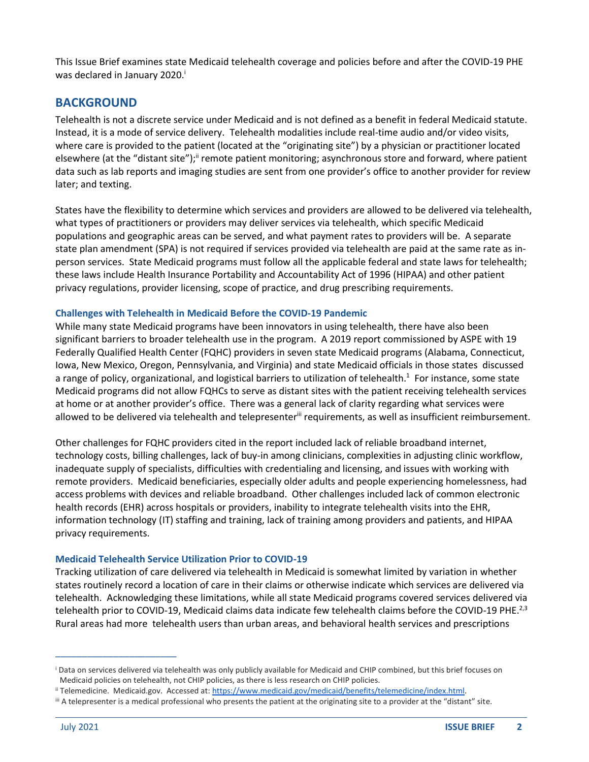This Issue Brief examines state Medicaid telehealth coverage and policies before and after the COVID-19 PHE was declared in January 2020.<sup>i</sup>

### **BACKGROUND**

Telehealth is not a discrete service under Medicaid and is not defined as a benefit in federal Medicaid statute. Instead, it is a mode of service delivery. Telehealth modalities include real-time audio and/or video visits, where care is provided to the patient (located at the "originating site") by a physician or practitioner located elsewhere (at the "distant site");<sup>ii</sup> remote patient monitoring; asynchronous store and forward, where patient data such as lab reports and imaging studies are sent from one provider's office to another provider for review later; and texting.

States have the flexibility to determine which services and providers are allowed to be delivered via telehealth, what types of practitioners or providers may deliver services via telehealth, which specific Medicaid populations and geographic areas can be served, and what payment rates to providers will be. A separate state plan amendment (SPA) is not required if services provided via telehealth are paid at the same rate as inperson services. State Medicaid programs must follow all the applicable federal and state laws for telehealth; these laws include Health Insurance Portability and Accountability Act of 1996 (HIPAA) and other patient privacy regulations, provider licensing, scope of practice, and drug prescribing requirements.

#### **Challenges with Telehealth in Medicaid Before the COVID-19 Pandemic**

While many state Medicaid programs have been innovators in using telehealth, there have also been significant barriers to broader telehealth use in the program. A 2019 report commissioned by ASPE with 19 Federally Qualified Health Center (FQHC) providers in seven state Medicaid programs (Alabama, Connecticut, Iowa, New Mexico, Oregon, Pennsylvania, and Virginia) and state Medicaid officials in those states discussed a range of policy, organizational, and logistical barriers to utilization of telehealth.<sup>1</sup> For instance, some state Medicaid programs did not allow FQHCs to serve as distant sites with the patient receiving telehealth services at home or at another provider's office. There was a general lack of clarity regarding what services were allowed to be delivered via telehealth and telepresenter<sup>iii</sup> requirements, as well as insufficient reimbursement.

Other challenges for FQHC providers cited in the report included lack of reliable broadband internet, technology costs, billing challenges, lack of buy-in among clinicians, complexities in adjusting clinic workflow, inadequate supply of specialists, difficulties with credentialing and licensing, and issues with working with remote providers. Medicaid beneficiaries, especially older adults and people experiencing homelessness, had access problems with devices and reliable broadband. Other challenges included lack of common electronic health records (EHR) across hospitals or providers, inability to integrate telehealth visits into the EHR, information technology (IT) staffing and training, lack of training among providers and patients, and HIPAA privacy requirements.

#### **Medicaid Telehealth Service Utilization Prior to COVID-19**

Tracking utilization of care delivered via telehealth in Medicaid is somewhat limited by variation in whether states routinely record a location of care in their claims or otherwise indicate which services are delivered via telehealth. Acknowledging these limitations, while all state Medicaid programs covered services delivered via telehealth prior to COVID-19, Medicaid claims data indicate few telehealth claims before the COVID-19 PHE.<sup>2,3</sup> Rural areas had more telehealth users than urban areas, and behavioral health services and prescriptions

\_\_\_\_\_\_\_\_\_\_\_\_\_\_\_\_\_\_\_\_\_\_\_

<sup>i</sup> Data on services delivered via telehealth was only publicly available for Medicaid and CHIP combined, but this brief focuses on Medicaid policies on telehealth, not CHIP policies, as there is less research on CHIP policies.

ii Telemedicine. Medicaid.gov. Accessed at[: https://www.medicaid.gov/medicaid/benefits/telemedicine/index.html.](https://www.medicaid.gov/medicaid/benefits/telemedicine/index.html)

iii A telepresenter is a medical professional who presents the patient at the originating site to a provider at the "distant" site.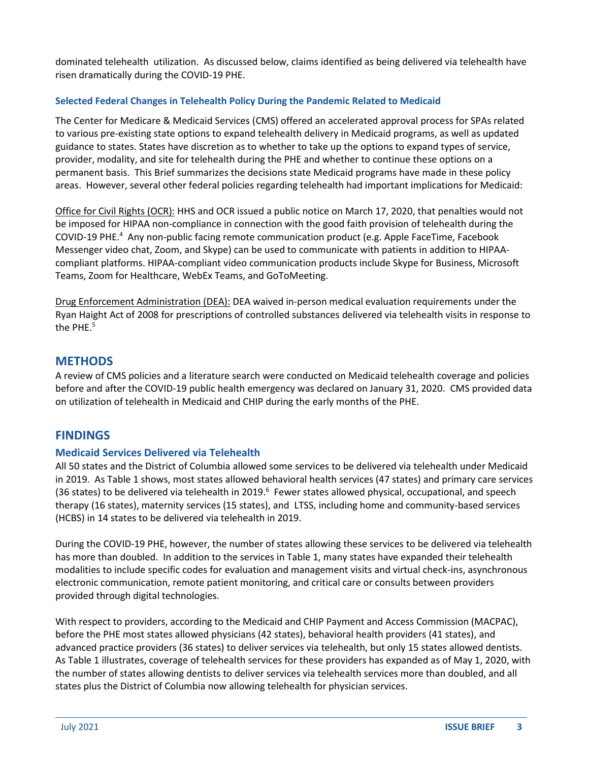dominated telehealth utilization. As discussed below, claims identified as being delivered via telehealth have risen dramatically during the COVID-19 PHE.

#### **Selected Federal Changes in Telehealth Policy During the Pandemic Related to Medicaid**

The Center for Medicare & Medicaid Services (CMS) offered an accelerated approval process for SPAs related to various pre-existing state options to expand telehealth delivery in Medicaid programs, as well as updated guidance to states. States have discretion as to whether to take up the options to expand types of service, provider, modality, and site for telehealth during the PHE and whether to continue these options on a permanent basis. This Brief summarizes the decisions state Medicaid programs have made in these policy areas. However, several other federal policies regarding telehealth had important implications for Medicaid:

Office for Civil Rights (OCR): HHS and OCR issued a public notice on March 17, 2020, that penalties would not be imposed for HIPAA non-compliance in connection with the good faith provision of telehealth during the COVID-19 PHE.<sup>4</sup> Any non-public facing remote communication product (e.g. Apple FaceTime, Facebook Messenger video chat, Zoom, and Skype) can be used to communicate with patients in addition to HIPAAcompliant platforms. HIPAA-compliant video communication products include Skype for Business, Microsoft Teams, Zoom for Healthcare, WebEx Teams, and GoToMeeting.

Drug Enforcement Administration (DEA): DEA waived in-person medical evaluation requirements under the Ryan Haight Act of 2008 for prescriptions of controlled substances delivered via telehealth visits in response to the PHE. $5$ 

### **METHODS**

A review of CMS policies and a literature search were conducted on Medicaid telehealth coverage and policies before and after the COVID-19 public health emergency was declared on January 31, 2020. CMS provided data on utilization of telehealth in Medicaid and CHIP during the early months of the PHE.

### **FINDINGS**

#### **Medicaid Services Delivered via Telehealth**

All 50 states and the District of Columbia allowed some services to be delivered via telehealth under Medicaid in 2019. As Table 1 shows, most states allowed behavioral health services (47 states) and primary care services (36 states) to be delivered via telehealth in 2019.<sup>6</sup> Fewer states allowed physical, occupational, and speech therapy (16 states), maternity services (15 states), and LTSS, including home and community-based services (HCBS) in 14 states to be delivered via telehealth in 2019.

During the COVID-19 PHE, however, the number of states allowing these services to be delivered via telehealth has more than doubled. In addition to the services in Table 1, many states have expanded their telehealth modalities to include specific codes for evaluation and management visits and virtual check-ins, asynchronous electronic communication, remote patient monitoring, and critical care or consults between providers provided through digital technologies.

With respect to providers, according to the Medicaid and CHIP Payment and Access Commission (MACPAC), before the PHE most states allowed physicians (42 states), behavioral health providers (41 states), and advanced practice providers (36 states) to deliver services via telehealth, but only 15 states allowed dentists. As Table 1 illustrates, coverage of telehealth services for these providers has expanded as of May 1, 2020, with the number of states allowing dentists to deliver services via telehealth services more than doubled, and all states plus the District of Columbia now allowing telehealth for physician services.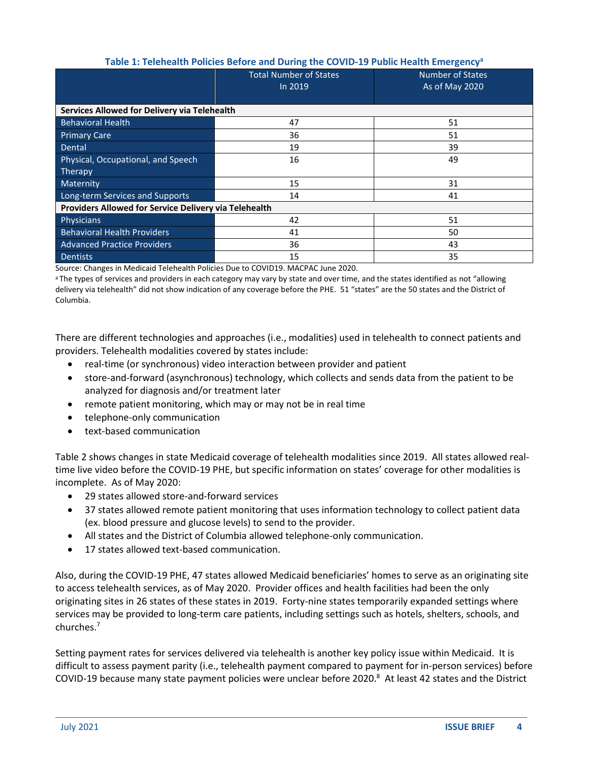### **Table 1: Telehealth Policies Before and During the COVID-19 Public Health Emergency<sup>a</sup>**

|                                                              | <b>Total Number of States</b><br>In 2019 | <b>Number of States</b><br>As of May 2020 |  |
|--------------------------------------------------------------|------------------------------------------|-------------------------------------------|--|
|                                                              |                                          |                                           |  |
| Services Allowed for Delivery via Telehealth                 |                                          |                                           |  |
| <b>Behavioral Health</b>                                     | 47                                       | 51                                        |  |
| <b>Primary Care</b>                                          | 36                                       | 51                                        |  |
| Dental                                                       | 19                                       | 39                                        |  |
| Physical, Occupational, and Speech                           | 16                                       | 49                                        |  |
| Therapy                                                      |                                          |                                           |  |
| Maternity                                                    | 15                                       | 31                                        |  |
| Long-term Services and Supports                              | 14                                       | 41                                        |  |
| <b>Providers Allowed for Service Delivery via Telehealth</b> |                                          |                                           |  |
| Physicians                                                   | 42                                       | 51                                        |  |
| <b>Behavioral Health Providers</b>                           | 41                                       | 50                                        |  |
| <b>Advanced Practice Providers</b>                           | 36                                       | 43                                        |  |
| <b>Dentists</b>                                              | 15                                       | 35                                        |  |

Source: Changes in Medicaid Telehealth Policies Due to COVID19. MACPAC June 2020.

a The types of services and providers in each category may vary by state and over time, and the states identified as not "allowing delivery via telehealth" did not show indication of any coverage before the PHE. 51 "states" are the 50 states and the District of Columbia.

There are different technologies and approaches (i.e., modalities) used in telehealth to connect patients and providers. Telehealth modalities covered by states include:

- real-time (or synchronous) video interaction between provider and patient
- store-and-forward (asynchronous) technology, which collects and sends data from the patient to be analyzed for diagnosis and/or treatment later
- remote patient monitoring, which may or may not be in real time
- telephone-only communication
- text-based communication

Table 2 shows changes in state Medicaid coverage of telehealth modalities since 2019. All states allowed realtime live video before the COVID-19 PHE, but specific information on states' coverage for other modalities is incomplete. As of May 2020:

- 29 states allowed store-and-forward services
- 37 states allowed remote patient monitoring that uses information technology to collect patient data (ex. blood pressure and glucose levels) to send to the provider.
- All states and the District of Columbia allowed telephone-only communication.
- 17 states allowed text-based communication.

Also, during the COVID-19 PHE, 47 states allowed Medicaid beneficiaries' homes to serve as an originating site to access telehealth services, as of May 2020. Provider offices and health facilities had been the only originating sites in 26 states of these states in 2019. Forty-nine states temporarily expanded settings where services may be provided to long-term care patients, including settings such as hotels, shelters, schools, and churches.<sup>7</sup>

Setting payment rates for services delivered via telehealth is another key policy issue within Medicaid. It is difficult to assess payment parity (i.e., telehealth payment compared to payment for in-person services) before COVID-19 because many state payment policies were unclear before 2020. 8 At least 42 states and the District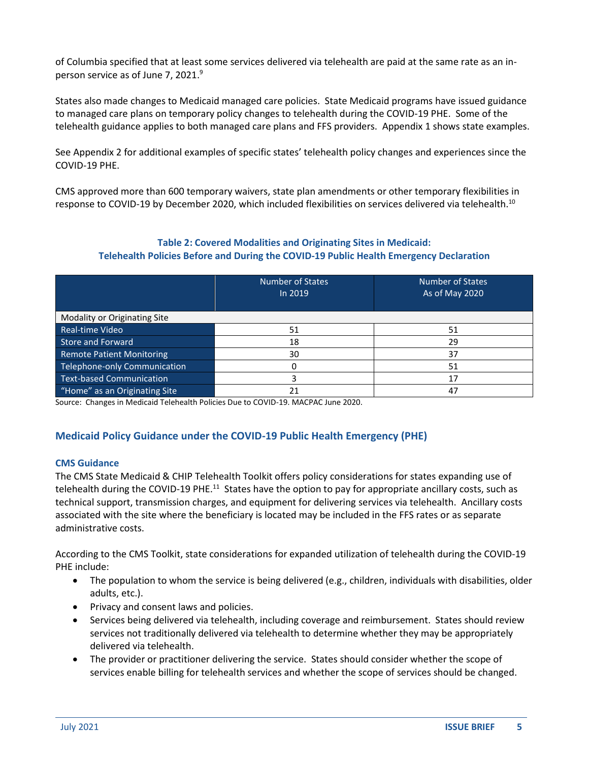of Columbia specified that at least some services delivered via telehealth are paid at the same rate as an inperson service as of June 7, 2021. 9

States also made changes to Medicaid managed care policies. State Medicaid programs have issued guidance to managed care plans on temporary policy changes to telehealth during the COVID-19 PHE. Some of the telehealth guidance applies to both managed care plans and FFS providers. Appendix 1 shows state examples.

See Appendix 2 for additional examples of specific states' telehealth policy changes and experiences since the COVID-19 PHE.

CMS approved more than 600 temporary waivers, state plan amendments or other temporary flexibilities in response to COVID-19 by December 2020, which included flexibilities on services delivered via telehealth.<sup>10</sup>

#### **Table 2: Covered Modalities and Originating Sites in Medicaid: Telehealth Policies Before and During the COVID-19 Public Health Emergency Declaration**

|                                  | <b>Number of States</b><br>In 2019 | <b>Number of States</b><br>As of May 2020 |  |
|----------------------------------|------------------------------------|-------------------------------------------|--|
| Modality or Originating Site     |                                    |                                           |  |
| Real-time Video                  | 51                                 | 51                                        |  |
| <b>Store and Forward</b>         | 18                                 | 29                                        |  |
| <b>Remote Patient Monitoring</b> | 30                                 | 37                                        |  |
| Telephone-only Communication     |                                    | 51                                        |  |
| <b>Text-based Communication</b>  |                                    | 17                                        |  |
| "Home" as an Originating Site    | 21                                 | 47                                        |  |

Source: Changes in Medicaid Telehealth Policies Due to COVID-19. MACPAC June 2020.

### **Medicaid Policy Guidance under the COVID-19 Public Health Emergency (PHE)**

#### **CMS Guidance**

The CMS State Medicaid & CHIP Telehealth Toolkit offers policy considerations for states expanding use of telehealth during the COVID-19 PHE.<sup>11</sup> States have the option to pay for appropriate ancillary costs, such as technical support, transmission charges, and equipment for delivering services via telehealth. Ancillary costs associated with the site where the beneficiary is located may be included in the FFS rates or as separate administrative costs.

According to the CMS Toolkit, state considerations for expanded utilization of telehealth during the COVID-19 PHE include:

- The population to whom the service is being delivered (e.g., children, individuals with disabilities, older adults, etc.).
- Privacy and consent laws and policies.
- Services being delivered via telehealth, including coverage and reimbursement. States should review services not traditionally delivered via telehealth to determine whether they may be appropriately delivered via telehealth.
- The provider or practitioner delivering the service. States should consider whether the scope of services enable billing for telehealth services and whether the scope of services should be changed.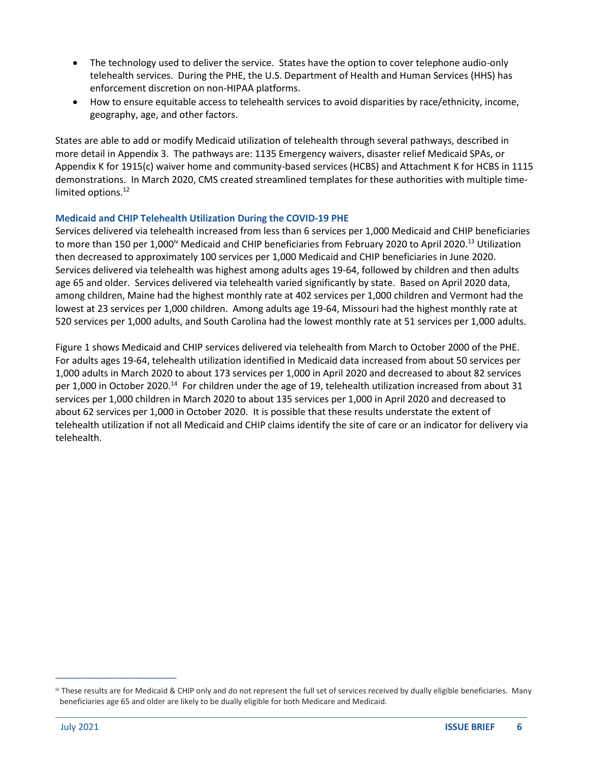- The technology used to deliver the service. States have the option to cover telephone audio-only telehealth services. During the PHE, the U.S. Department of Health and Human Services (HHS) has enforcement discretion on non-HIPAA platforms.
- How to ensure equitable access to telehealth services to avoid disparities by race/ethnicity, income, geography, age, and other factors.

States are able to add or modify Medicaid utilization of telehealth through several pathways, described in more detail in Appendix 3. The pathways are: 1135 Emergency waivers, disaster relief Medicaid SPAs, or Appendix K for 1915(c) waiver home and community-based services (HCBS) and Attachment K for HCBS in 1115 demonstrations. In March 2020, CMS created streamlined templates for these authorities with multiple timelimited options.<sup>12</sup>

#### **Medicaid and CHIP Telehealth Utilization During the COVID-19 PHE**

Services delivered via telehealth increased from less than 6 services per 1,000 Medicaid and CHIP beneficiaries to more than 150 per 1,000<sup>iv</sup> Medicaid and CHIP beneficiaries from February 2020 to April 2020.<sup>13</sup> Utilization then decreased to approximately 100 services per 1,000 Medicaid and CHIP beneficiaries in June 2020. Services delivered via telehealth was highest among adults ages 19-64, followed by children and then adults age 65 and older. Services delivered via telehealth varied significantly by state. Based on April 2020 data, among children, Maine had the highest monthly rate at 402 services per 1,000 children and Vermont had the lowest at 23 services per 1,000 children. Among adults age 19-64, Missouri had the highest monthly rate at 520 services per 1,000 adults, and South Carolina had the lowest monthly rate at 51 services per 1,000 adults.

Figure 1 shows Medicaid and CHIP services delivered via telehealth from March to October 2000 of the PHE. For adults ages 19-64, telehealth utilization identified in Medicaid data increased from about 50 services per 1,000 adults in March 2020 to about 173 services per 1,000 in April 2020 and decreased to about 82 services per 1,000 in October 2020.<sup>14</sup> For children under the age of 19, telehealth utilization increased from about 31 services per 1,000 children in March 2020 to about 135 services per 1,000 in April 2020 and decreased to about 62 services per 1,000 in October 2020. It is possible that these results understate the extent of telehealth utilization if not all Medicaid and CHIP claims identify the site of care or an indicator for delivery via telehealth.

\_\_\_\_\_\_\_\_\_\_\_\_\_\_\_\_\_\_\_\_\_\_\_

iv These results are for Medicaid & CHIP only and do not represent the full set of services received by dually eligible beneficiaries. Many beneficiaries age 65 and older are likely to be dually eligible for both Medicare and Medicaid.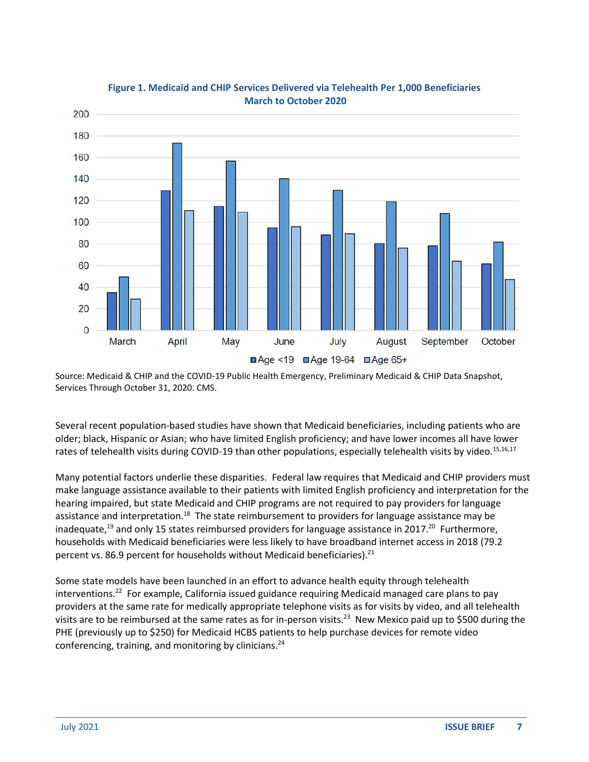

**Figure 1. Medicaid and CHIP Services Delivered via Telehealth Per 1,000 Beneficiaries March to October 2020**

Source: Medicaid & CHIP and the COVID-19 Public Health Emergency, Preliminary Medicaid & CHIP Data Snapshot, Services Through October 31, 2020. CMS.

Several recent population-based studies have shown that Medicaid beneficiaries, including patients who are older; black, Hispanic or Asian; who have limited English proficiency; and have lower incomes all have lower rates of telehealth visits during COVID-19 than other populations, especially telehealth visits by video.<sup>15,16,17</sup>

Many potential factors underlie these disparities. Federal law requires that Medicaid and CHIP providers must make language assistance available to their patients with limited English proficiency and interpretation for the hearing impaired, but state Medicaid and CHIP programs are not required to pay providers for language assistance and interpretation.<sup>18</sup> The state reimbursement to providers for language assistance may be inadequate,<sup>19</sup> and only 15 states reimbursed providers for language assistance in 2017.<sup>20</sup> Furthermore, households with Medicaid beneficiaries were less likely to have broadband internet access in 2018 (79.2 percent vs. 86.9 percent for households without Medicaid beneficiaries).<sup>21</sup>

Some state models have been launched in an effort to advance health equity through telehealth interventions.<sup>22</sup> For example, California issued guidance requiring Medicaid managed care plans to pay providers at the same rate for medically appropriate telephone visits as for visits by video, and all telehealth visits are to be reimbursed at the same rates as for in-person visits.<sup>23</sup> New Mexico paid up to \$500 during the PHE (previously up to \$250) for Medicaid HCBS patients to help purchase devices for remote video conferencing, training, and monitoring by clinicians.<sup>24</sup>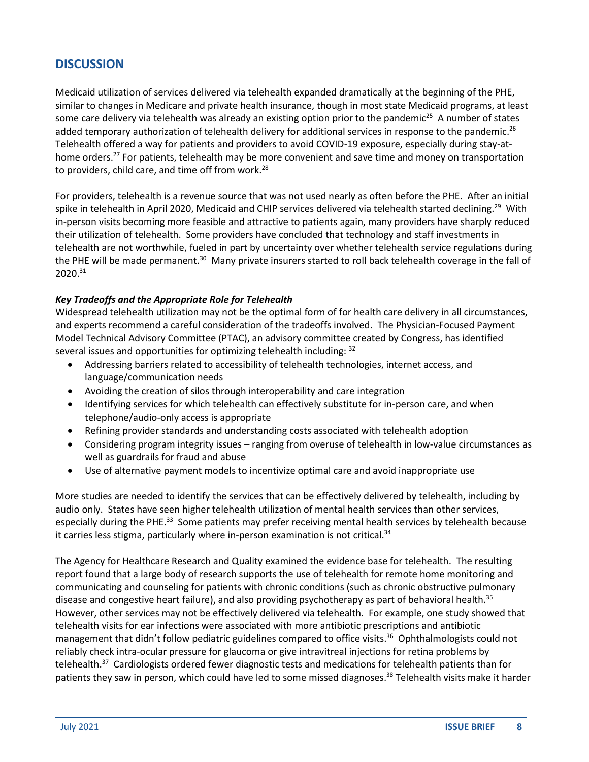### **DISCUSSION**

Medicaid utilization of services delivered via telehealth expanded dramatically at the beginning of the PHE, similar to changes in Medicare and private health insurance, though in most state Medicaid programs, at least some care delivery via telehealth was already an existing option prior to the pandemic<sup>25</sup> A number of states added temporary authorization of telehealth delivery for additional services in response to the pandemic.<sup>26</sup> Telehealth offered a way for patients and providers to avoid COVID-19 exposure, especially during stay-athome orders.<sup>27</sup> For patients, telehealth may be more convenient and save time and money on transportation to providers, child care, and time off from work.<sup>28</sup>

For providers, telehealth is a revenue source that was not used nearly as often before the PHE. After an initial spike in telehealth in April 2020, Medicaid and CHIP services delivered via telehealth started declining.<sup>29</sup> With in-person visits becoming more feasible and attractive to patients again, many providers have sharply reduced their utilization of telehealth. Some providers have concluded that technology and staff investments in telehealth are not worthwhile, fueled in part by uncertainty over whether telehealth service regulations during the PHE will be made permanent.<sup>30</sup> Many private insurers started to roll back telehealth coverage in the fall of 2020.<sup>31</sup>

#### *Key Tradeoffs and the Appropriate Role for Telehealth*

Widespread telehealth utilization may not be the optimal form of for health care delivery in all circumstances, and experts recommend a careful consideration of the tradeoffs involved. The Physician-Focused Payment Model Technical Advisory Committee (PTAC), an advisory committee created by Congress, has identified several issues and opportunities for optimizing telehealth including: <sup>32</sup>

- Addressing barriers related to accessibility of telehealth technologies, internet access, and language/communication needs
- Avoiding the creation of silos through interoperability and care integration
- Identifying services for which telehealth can effectively substitute for in-person care, and when telephone/audio-only access is appropriate
- Refining provider standards and understanding costs associated with telehealth adoption
- Considering program integrity issues ranging from overuse of telehealth in low-value circumstances as well as guardrails for fraud and abuse
- Use of alternative payment models to incentivize optimal care and avoid inappropriate use

More studies are needed to identify the services that can be effectively delivered by telehealth, including by audio only. States have seen higher telehealth utilization of mental health services than other services, especially during the PHE.<sup>33</sup> Some patients may prefer receiving mental health services by telehealth because it carries less stigma, particularly where in-person examination is not critical. 34

The Agency for Healthcare Research and Quality examined the evidence base for telehealth. The resulting report found that a large body of research supports the use of telehealth for remote home monitoring and communicating and counseling for patients with chronic conditions (such as chronic obstructive pulmonary disease and congestive heart failure), and also providing psychotherapy as part of behavioral health.<sup>35</sup> However, other services may not be effectively delivered via telehealth. For example, one study showed that telehealth visits for ear infections were associated with more antibiotic prescriptions and antibiotic management that didn't follow pediatric guidelines compared to office visits.<sup>36</sup> Ophthalmologists could not reliably check intra-ocular pressure for glaucoma or give intravitreal injections for retina problems by telehealth.<sup>37</sup> Cardiologists ordered fewer diagnostic tests and medications for telehealth patients than for patients they saw in person, which could have led to some missed diagnoses.<sup>38</sup> Telehealth visits make it harder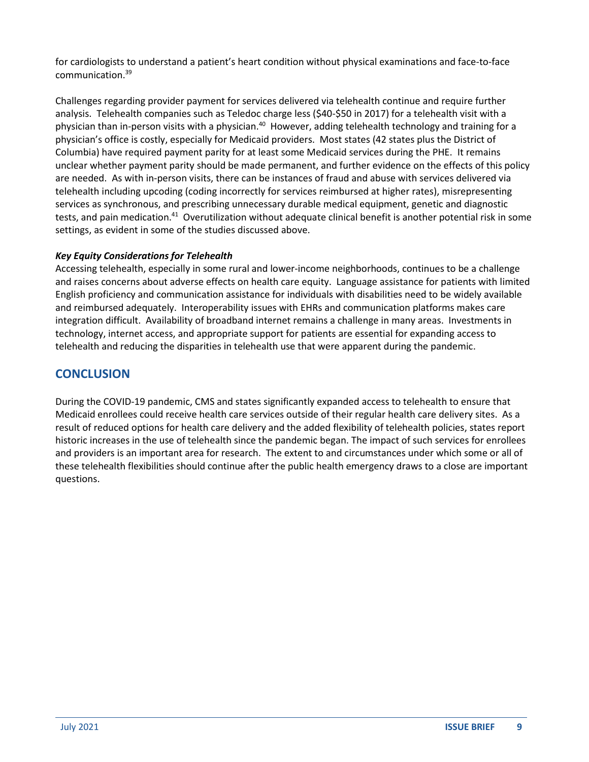for cardiologists to understand a patient's heart condition without physical examinations and face-to-face communication.<sup>39</sup>

Challenges regarding provider payment for services delivered via telehealth continue and require further analysis. Telehealth companies such as Teledoc charge less (\$40-\$50 in 2017) for a telehealth visit with a physician than in-person visits with a physician.<sup>40</sup> However, adding telehealth technology and training for a physician's office is costly, especially for Medicaid providers. Most states (42 states plus the District of Columbia) have required payment parity for at least some Medicaid services during the PHE. It remains unclear whether payment parity should be made permanent, and further evidence on the effects of this policy are needed. As with in-person visits, there can be instances of fraud and abuse with services delivered via telehealth including upcoding (coding incorrectly for services reimbursed at higher rates), misrepresenting services as synchronous, and prescribing unnecessary durable medical equipment, genetic and diagnostic tests, and pain medication.<sup>41</sup> Overutilization without adequate clinical benefit is another potential risk in some settings, as evident in some of the studies discussed above.

### *Key Equity Considerations for Telehealth*

Accessing telehealth, especially in some rural and lower-income neighborhoods, continues to be a challenge and raises concerns about adverse effects on health care equity. Language assistance for patients with limited English proficiency and communication assistance for individuals with disabilities need to be widely available and reimbursed adequately. Interoperability issues with EHRs and communication platforms makes care integration difficult. Availability of broadband internet remains a challenge in many areas. Investments in technology, internet access, and appropriate support for patients are essential for expanding access to telehealth and reducing the disparities in telehealth use that were apparent during the pandemic.

### **CONCLUSION**

During the COVID-19 pandemic, CMS and states significantly expanded access to telehealth to ensure that Medicaid enrollees could receive health care services outside of their regular health care delivery sites. As a result of reduced options for health care delivery and the added flexibility of telehealth policies, states report historic increases in the use of telehealth since the pandemic began. The impact of such services for enrollees and providers is an important area for research. The extent to and circumstances under which some or all of these telehealth flexibilities should continue after the public health emergency draws to a close are important questions.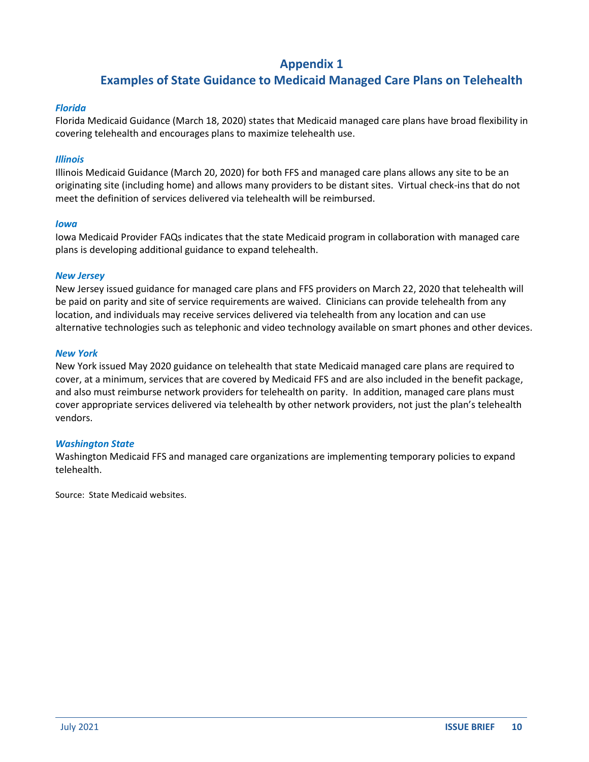### **Appendix 1**

### **Examples of State Guidance to Medicaid Managed Care Plans on Telehealth**

#### *Florida*

Florida Medicaid Guidance (March 18, 2020) states that Medicaid managed care plans have broad flexibility in covering telehealth and encourages plans to maximize telehealth use.

#### *Illinois*

Illinois Medicaid Guidance (March 20, 2020) for both FFS and managed care plans allows any site to be an originating site (including home) and allows many providers to be distant sites. Virtual check-ins that do not meet the definition of services delivered via telehealth will be reimbursed.

#### *Iowa*

Iowa Medicaid Provider FAQs indicates that the state Medicaid program in collaboration with managed care plans is developing additional guidance to expand telehealth.

#### *New Jersey*

New Jersey issued guidance for managed care plans and FFS providers on March 22, 2020 that telehealth will be paid on parity and site of service requirements are waived. Clinicians can provide telehealth from any location, and individuals may receive services delivered via telehealth from any location and can use alternative technologies such as telephonic and video technology available on smart phones and other devices.

#### *New York*

New York issued May 2020 guidance on telehealth that state Medicaid managed care plans are required to cover, at a minimum, services that are covered by Medicaid FFS and are also included in the benefit package, and also must reimburse network providers for telehealth on parity. In addition, managed care plans must cover appropriate services delivered via telehealth by other network providers, not just the plan's telehealth vendors.

#### *Washington State*

Washington Medicaid FFS and managed care organizations are implementing temporary policies to expand telehealth.

Source: State Medicaid websites.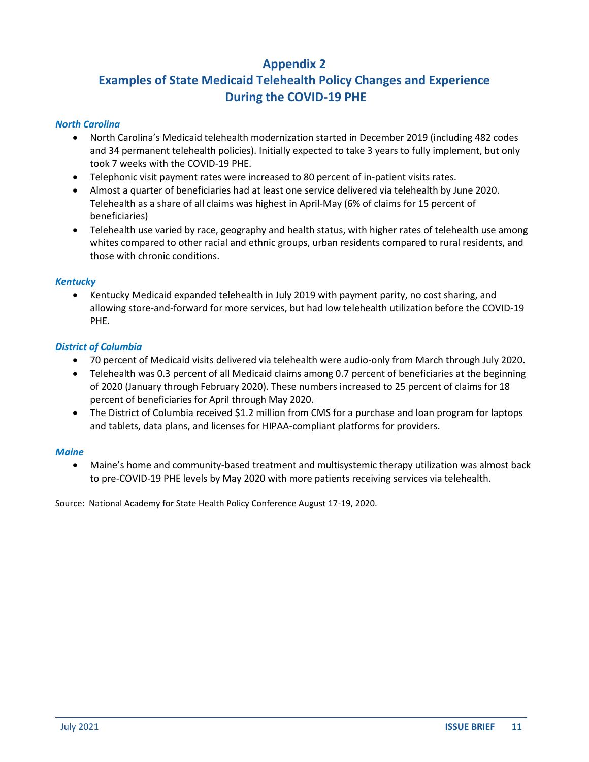### **Appendix 2**

# **Examples of State Medicaid Telehealth Policy Changes and Experience During the COVID-19 PHE**

#### *North Carolina*

- North Carolina's Medicaid telehealth modernization started in December 2019 (including 482 codes and 34 permanent telehealth policies). Initially expected to take 3 years to fully implement, but only took 7 weeks with the COVID-19 PHE.
- Telephonic visit payment rates were increased to 80 percent of in-patient visits rates.
- Almost a quarter of beneficiaries had at least one service delivered via telehealth by June 2020. Telehealth as a share of all claims was highest in April-May (6% of claims for 15 percent of beneficiaries)
- Telehealth use varied by race, geography and health status, with higher rates of telehealth use among whites compared to other racial and ethnic groups, urban residents compared to rural residents, and those with chronic conditions.

#### *Kentucky*

• Kentucky Medicaid expanded telehealth in July 2019 with payment parity, no cost sharing, and allowing store-and-forward for more services, but had low telehealth utilization before the COVID-19 PHE.

#### *District of Columbia*

- 70 percent of Medicaid visits delivered via telehealth were audio-only from March through July 2020.
- Telehealth was 0.3 percent of all Medicaid claims among 0.7 percent of beneficiaries at the beginning of 2020 (January through February 2020). These numbers increased to 25 percent of claims for 18 percent of beneficiaries for April through May 2020.
- The District of Columbia received \$1.2 million from CMS for a purchase and loan program for laptops and tablets, data plans, and licenses for HIPAA-compliant platforms for providers.

#### *Maine*

• Maine's home and community-based treatment and multisystemic therapy utilization was almost back to pre-COVID-19 PHE levels by May 2020 with more patients receiving services via telehealth.

Source: National Academy for State Health Policy Conference August 17-19, 2020.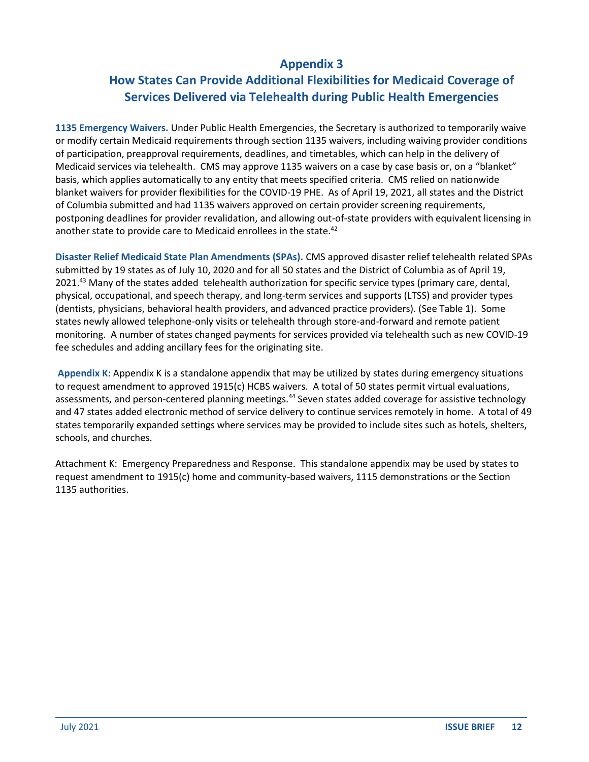### **Appendix 3**

## **How States Can Provide Additional Flexibilities for Medicaid Coverage of Services Delivered via Telehealth during Public Health Emergencies**

**1135 Emergency Waivers.** Under Public Health Emergencies, the Secretary is authorized to temporarily waive or modify certain Medicaid requirements through section 1135 waivers, including waiving provider conditions of participation, preapproval requirements, deadlines, and timetables, which can help in the delivery of Medicaid services via telehealth. CMS may approve 1135 waivers on a case by case basis or, on a "blanket" basis, which applies automatically to any entity that meets specified criteria. CMS relied on nationwide blanket waivers for provider flexibilities for the COVID-19 PHE. As of April 19, 2021, all states and the District of Columbia submitted and had 1135 waivers approved on certain provider screening requirements, postponing deadlines for provider revalidation, and allowing out-of-state providers with equivalent licensing in another state to provide care to Medicaid enrollees in the state.<sup>42</sup>

**Disaster Relief Medicaid State Plan Amendments (SPAs).** CMS approved disaster relief telehealth related SPAs submitted by 19 states as of July 10, 2020 and for all 50 states and the District of Columbia as of April 19, 2021.<sup>43</sup> Many of the states added telehealth authorization for specific service types (primary care, dental, physical, occupational, and speech therapy, and long-term services and supports (LTSS) and provider types (dentists, physicians, behavioral health providers, and advanced practice providers). (See Table 1). Some states newly allowed telephone-only visits or telehealth through store-and-forward and remote patient monitoring. A number of states changed payments for services provided via telehealth such as new COVID-19 fee schedules and adding ancillary fees for the originating site.

**Appendix K:** Appendix K is a standalone appendix that may be utilized by states during emergency situations to request amendment to approved 1915(c) HCBS waivers. A total of 50 states permit virtual evaluations, assessments, and person-centered planning meetings.<sup>44</sup> Seven states added coverage for assistive technology and 47 states added electronic method of service delivery to continue services remotely in home. A total of 49 states temporarily expanded settings where services may be provided to include sites such as hotels, shelters, schools, and churches.

Attachment K: Emergency Preparedness and Response. This standalone appendix may be used by states to request amendment to 1915(c) home and community-based waivers, 1115 demonstrations or the Section 1135 authorities.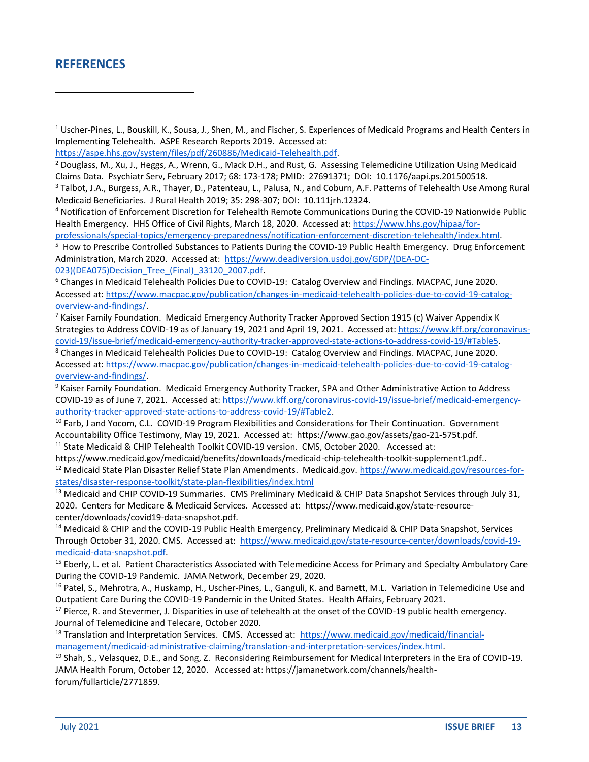### **REFERENCES**

 $1$  Uscher-Pines, L., Bouskill, K., Sousa, J., Shen, M., and Fischer, S. Experiences of Medicaid Programs and Health Centers in Implementing Telehealth. ASPE Research Reports 2019. Accessed at:

[https://aspe.hhs.gov/system/files/pdf/260886/Medicaid-Telehealth.pdf.](https://aspe.hhs.gov/system/files/pdf/260886/Medicaid-Telehealth.pdf)

<sup>2</sup> Douglass, M., Xu, J., Heggs, A., Wrenn, G., Mack D.H., and Rust, G. Assessing Telemedicine Utilization Using Medicaid Claims Data. Psychiatr Serv, February 2017; 68: 173-178; PMID: 27691371; DOI: 10.1176/aapi.ps.201500518.

<sup>3</sup> Talbot, J.A., Burgess, A.R., Thayer, D., Patenteau, L., Palusa, N., and Coburn, A.F. Patterns of Telehealth Use Among Rural Medicaid Beneficiaries. J Rural Health 2019; 35: 298-307; DOI: 10.111jrh.12324.

<sup>4</sup> Notification of Enforcement Discretion for Telehealth Remote Communications During the COVID-19 Nationwide Public Health Emergency. HHS Office of Civil Rights, March 18, 2020. Accessed at: [https://www.hhs.gov/hipaa/for](https://www.hhs.gov/hipaa/for-professionals/special-topics/emergency-preparedness/notification-enforcement-discretion-telehealth/index.html)[professionals/special-topics/emergency-preparedness/notification-enforcement-discretion-telehealth/index.html.](https://www.hhs.gov/hipaa/for-professionals/special-topics/emergency-preparedness/notification-enforcement-discretion-telehealth/index.html)

<sup>5</sup> How to Prescribe Controlled Substances to Patients During the COVID-19 Public Health Emergency. Drug Enforcement Administration, March 2020. Accessed at: [https://www.deadiversion.usdoj.gov/GDP/\(DEA-DC-](https://www.deadiversion.usdoj.gov/GDP/(DEA-DC-023)(DEA075)Decision_Tree_(Final)_33120_2007.pdf)[023\)\(DEA075\)Decision\\_Tree\\_\(Final\)\\_33120\\_2007.pdf.](https://www.deadiversion.usdoj.gov/GDP/(DEA-DC-023)(DEA075)Decision_Tree_(Final)_33120_2007.pdf)

<sup>6</sup> Changes in Medicaid Telehealth Policies Due to COVID-19: Catalog Overview and Findings. MACPAC, June 2020. Accessed at: [https://www.macpac.gov/publication/changes-in-medicaid-telehealth-policies-due-to-covid-19-catalog](https://www.macpac.gov/publication/changes-in-medicaid-telehealth-policies-due-to-covid-19-catalog-overview-and-findings/)[overview-and-findings/.](https://www.macpac.gov/publication/changes-in-medicaid-telehealth-policies-due-to-covid-19-catalog-overview-and-findings/)

 $7$  Kaiser Family Foundation. Medicaid Emergency Authority Tracker Approved Section 1915 (c) Waiver Appendix K Strategies to Address COVID-19 as of January 19, 2021 and April 19, 2021. Accessed at: [https://www.kff.org/coronavirus](https://www.kff.org/coronavirus-covid-19/issue-brief/medicaid-emergency-authority-tracker-approved-state-actions-to-address-covid-19/)[covid-19/issue-brief/medicaid-emergency-authority-tracker-approved-state-actions-to-address-covid-19/#](https://www.kff.org/coronavirus-covid-19/issue-brief/medicaid-emergency-authority-tracker-approved-state-actions-to-address-covid-19/)Table5.

<sup>8</sup> Changes in Medicaid Telehealth Policies Due to COVID-19: Catalog Overview and Findings. MACPAC, June 2020. Accessed at: [https://www.macpac.gov/publication/changes-in-medicaid-telehealth-policies-due-to-covid-19-catalog](https://www.macpac.gov/publication/changes-in-medicaid-telehealth-policies-due-to-covid-19-catalog-overview-and-findings/)[overview-and-findings/.](https://www.macpac.gov/publication/changes-in-medicaid-telehealth-policies-due-to-covid-19-catalog-overview-and-findings/)

<sup>9</sup> Kaiser Family Foundation. Medicaid Emergency Authority Tracker, SPA and Other Administrative Action to Address COVID-19 as of June 7, 2021. Accessed at[: https://www.kff.org/coronavirus-covid-19/issue-brief/medicaid-emergency](https://www.kff.org/coronavirus-covid-19/issue-brief/medicaid-emergency-authority-tracker-approved-state-actions-to-address-covid-19/#Table2)[authority-tracker-approved-state-actions-to-address-covid-19/#Table2.](https://www.kff.org/coronavirus-covid-19/issue-brief/medicaid-emergency-authority-tracker-approved-state-actions-to-address-covid-19/#Table2)

<sup>10</sup> Farb, J and Yocom, C.L. COVID-19 Program Flexibilities and Considerations for Their Continuation. Government Accountability Office Testimony, May 19, 2021. Accessed at: https://www.gao.gov/assets/gao-21-575t.pdf. <sup>11</sup> State Medicaid & CHIP Telehealth Toolkit COVID-19 version. CMS, October 2020. Accessed at:

https://www.medicaid.gov/medicaid/benefits/downloads/medicaid-chip-telehealth-toolkit-supplement1.pdf.. <sup>12</sup> Medicaid State Plan Disaster Relief State Plan Amendments. Medicaid.gov. [https://www.medicaid.gov/resources-for](https://www.medicaid.gov/resources-for-states/disaster-response-toolkit/state-plan-flexibilities/index.html)[states/disaster-response-toolkit/state-plan-flexibilities/index.html](https://www.medicaid.gov/resources-for-states/disaster-response-toolkit/state-plan-flexibilities/index.html)

<sup>13</sup> Medicaid and CHIP COVID-19 Summaries. CMS Preliminary Medicaid & CHIP Data Snapshot Services through July 31, 2020. Centers for Medicare & Medicaid Services. Accessed at: https://www.medicaid.gov/state-resourcecenter/downloads/covid19-data-snapshot.pdf.

<sup>14</sup> Medicaid & CHIP and the COVID-19 Public Health Emergency, Preliminary Medicaid & CHIP Data Snapshot, Services Through October 31, 2020. CMS. Accessed at: [https://www.medicaid.gov/state-resource-center/downloads/covid-19](https://www.medicaid.gov/state-resource-center/downloads/covid-19-medicaid-data-snapshot.pdf) [medicaid-data-snapshot.pdf.](https://www.medicaid.gov/state-resource-center/downloads/covid-19-medicaid-data-snapshot.pdf)

<sup>15</sup> Eberly, L. et al. Patient Characteristics Associated with Telemedicine Access for Primary and Specialty Ambulatory Care During the COVID-19 Pandemic. JAMA Network, December 29, 2020.

<sup>16</sup> Patel, S., Mehrotra, A., Huskamp, H., Uscher-Pines, L., Ganguli, K. and Barnett, M.L. Variation in Telemedicine Use and Outpatient Care During the COVID-19 Pandemic in the United States. Health Affairs, February 2021.

 $17$  Pierce, R. and Stevermer, J. Disparities in use of telehealth at the onset of the COVID-19 public health emergency. Journal of Telemedicine and Telecare, October 2020.

<sup>18</sup> Translation and Interpretation Services. CMS. Accessed at: [https://www.medicaid.gov/medicaid/financial](https://www.medicaid.gov/medicaid/financial-management/medicaid-administrative-claiming/translation-and-interpretation-services/index.html)[management/medicaid-administrative-claiming/translation-and-interpretation-services/index.html.](https://www.medicaid.gov/medicaid/financial-management/medicaid-administrative-claiming/translation-and-interpretation-services/index.html)

<sup>19</sup> Shah, S., Velasquez, D.E., and Song, Z. Reconsidering Reimbursement for Medical Interpreters in the Era of COVID-19. JAMA Health Forum, October 12, 2020. Accessed at: https://jamanetwork.com/channels/healthforum/fullarticle/2771859.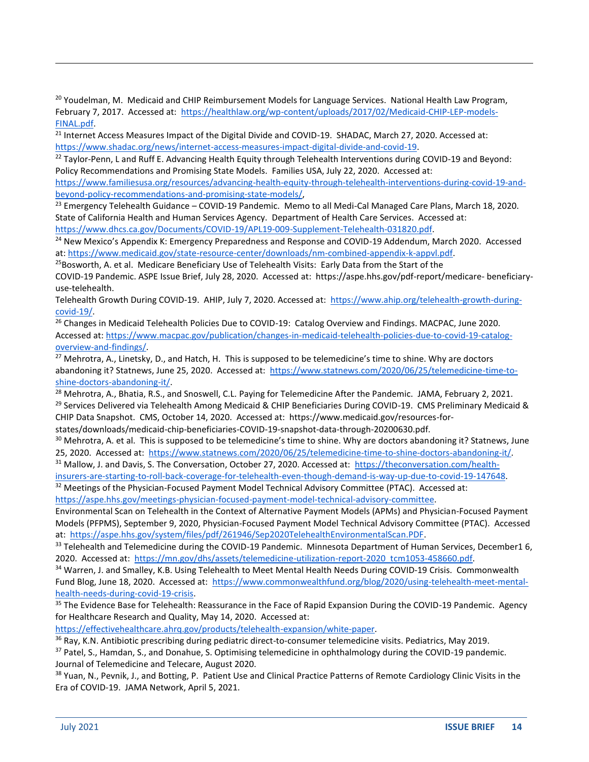<sup>20</sup> Youdelman, M. Medicaid and CHIP Reimbursement Models for Language Services. National Health Law Program, February 7, 2017. Accessed at: [https://healthlaw.org/wp-content/uploads/2017/02/Medicaid-CHIP-LEP-models-](https://healthlaw.org/wp-content/uploads/2017/02/Medicaid-CHIP-LEP-models-FINAL.pdf)[FINAL.pdf.](https://healthlaw.org/wp-content/uploads/2017/02/Medicaid-CHIP-LEP-models-FINAL.pdf)

<sup>21</sup> Internet Access Measures Impact of the Digital Divide and COVID-19. SHADAC, March 27, 2020. Accessed at: [https://www.shadac.org/news/internet-access-measures-impact-digital-divide-and-covid-19.](https://www.shadac.org/news/internet-access-measures-impact-digital-divide-and-covid-19)

<sup>22</sup> Taylor-Penn, L and Ruff E. Advancing Health Equity through Telehealth Interventions during COVID-19 and Beyond: Policy Recommendations and Promising State Models. Families USA, July 22, 2020. Accessed at: [https://www.familiesusa.org/resources/advancing-health-equity-through-telehealth-interventions-during-covid-19-and-](https://www.familiesusa.org/resources/advancing-health-equity-through-telehealth-interventions-during-covid-19-and-beyond-policy-recommendations-and-promising-state-models/)

[beyond-policy-recommendations-and-promising-state-models/,](https://www.familiesusa.org/resources/advancing-health-equity-through-telehealth-interventions-during-covid-19-and-beyond-policy-recommendations-and-promising-state-models/)

<sup>23</sup> Emergency Telehealth Guidance - COVID-19 Pandemic. Memo to all Medi-Cal Managed Care Plans, March 18, 2020. State of California Health and Human Services Agency. Department of Health Care Services. Accessed at: [https://www.dhcs.ca.gov/Documents/COVID-19/APL19-009-Supplement-Telehealth-031820.pdf.](https://www.dhcs.ca.gov/Documents/COVID-19/APL19-009-Supplement-Telehealth-031820.pdf)

<sup>24</sup> New Mexico's Appendix K: Emergency Preparedness and Response and COVID-19 Addendum, March 2020. Accessed at[: https://www.medicaid.gov/state-resource-center/downloads/nm-combined-appendix-k-appvl.pdf.](https://www.medicaid.gov/state-resource-center/downloads/nm-combined-appendix-k-appvl.pdf)

<sup>25</sup>Bosworth, A. et al. Medicare Beneficiary Use of Telehealth Visits: Early Data from the Start of the COVID-19 Pandemic. ASPE Issue Brief, July 28, 2020. Accessed at: https://aspe.hhs.gov/pdf-report/medicare- beneficiaryuse-telehealth.

Telehealth Growth During COVID-19. AHIP, July 7, 2020. Accessed at: [https://www.ahip.org/telehealth-growth-during](https://www.ahip.org/telehealth-growth-during-covid-19/)[covid-19/.](https://www.ahip.org/telehealth-growth-during-covid-19/)

<sup>26</sup> Changes in Medicaid Telehealth Policies Due to COVID-19: Catalog Overview and Findings. MACPAC, June 2020. Accessed at: [https://www.macpac.gov/publication/changes-in-medicaid-telehealth-policies-due-to-covid-19-catalog](https://www.macpac.gov/publication/changes-in-medicaid-telehealth-policies-due-to-covid-19-catalog-overview-and-findings/)[overview-and-findings/.](https://www.macpac.gov/publication/changes-in-medicaid-telehealth-policies-due-to-covid-19-catalog-overview-and-findings/)

 $^{27}$  Mehrotra, A., Linetsky, D., and Hatch, H. This is supposed to be telemedicine's time to shine. Why are doctors abandoning it? Statnews, June 25, 2020. Accessed at: [https://www.statnews.com/2020/06/25/telemedicine-time-to](https://www.statnews.com/2020/06/25/telemedicine-time-to-shine-doctors-abandoning-it/)[shine-doctors-abandoning-it/.](https://www.statnews.com/2020/06/25/telemedicine-time-to-shine-doctors-abandoning-it/)

<sup>28</sup> Mehrotra, A., Bhatia, R.S., and Snoswell, C.L. Paying for Telemedicine After the Pandemic. JAMA, February 2, 2021. <sup>29</sup> Services Delivered via Telehealth Among Medicaid & CHIP Beneficiaries During COVID-19. CMS Preliminary Medicaid & CHIP Data Snapshot. CMS, October 14, 2020. Accessed at: https://www.medicaid.gov/resources-forstates/downloads/medicaid-chip-beneficiaries-COVID-19-snapshot-data-through-20200630.pdf.

 $30$  Mehrotra, A. et al. This is supposed to be telemedicine's time to shine. Why are doctors abandoning it? Statnews, June 25, 2020. Accessed at: [https://www.statnews.com/2020/06/25/telemedicine-time-to-shine-doctors-abandoning-it/.](https://www.statnews.com/2020/06/25/telemedicine-time-to-shine-doctors-abandoning-it/)

<sup>31</sup> Mallow, J. and Davis, S. The Conversation, October 27, 2020. Accessed at: [https://theconversation.com/health-](https://theconversation.com/health-insurers-are-starting-to-roll-back-coverage-for-telehealth-even-though-demand-is-way-up-due-to-covid-19-147648)

[insurers-are-starting-to-roll-back-coverage-for-telehealth-even-though-demand-is-way-up-due-to-covid-19-147648.](https://theconversation.com/health-insurers-are-starting-to-roll-back-coverage-for-telehealth-even-though-demand-is-way-up-due-to-covid-19-147648) <sup>32</sup> Meetings of the Physician-Focused Payment Model Technical Advisory Committee (PTAC). Accessed at:

[https://aspe.hhs.gov/meetings-physician-focused-payment-model-technical-advisory-committee.](https://aspe.hhs.gov/meetings-physician-focused-payment-model-technical-advisory-committee)

Environmental Scan on Telehealth in the Context of Alternative Payment Models (APMs) and Physician-Focused Payment Models (PFPMS), September 9, 2020, Physician-Focused Payment Model Technical Advisory Committee (PTAC). Accessed at: [https://aspe.hhs.gov/system/files/pdf/261946/Sep2020TelehealthEnvironmentalScan.PDF.](https://aspe.hhs.gov/system/files/pdf/261946/Sep2020TelehealthEnvironmentalScan.PDF)

<sup>33</sup> Telehealth and Telemedicine during the COVID-19 Pandemic. Minnesota Department of Human Services, December1 6, 2020. Accessed at: [https://mn.gov/dhs/assets/telemedicine-utilization-report-2020\\_tcm1053-458660.pdf.](https://mn.gov/dhs/assets/telemedicine-utilization-report-2020_tcm1053-458660.pdf)

34 Warren, J. and Smalley, K.B. Using Telehealth to Meet Mental Health Needs During COVID-19 Crisis. Commonwealth Fund Blog, June 18, 2020. Accessed at: [https://www.commonwealthfund.org/blog/2020/using-telehealth-meet-mental](https://www.commonwealthfund.org/blog/2020/using-telehealth-meet-mental-health-needs-during-covid-19-crisis)[health-needs-during-covid-19-crisis.](https://www.commonwealthfund.org/blog/2020/using-telehealth-meet-mental-health-needs-during-covid-19-crisis)

<sup>35</sup> The Evidence Base for Telehealth: Reassurance in the Face of Rapid Expansion During the COVID-19 Pandemic. Agency for Healthcare Research and Quality, May 14, 2020. Accessed at:

[https://effectivehealthcare.ahrq.gov/products/telehealth-expansion/white-paper.](https://effectivehealthcare.ahrq.gov/products/telehealth-expansion/white-paper)

<sup>36</sup> Ray, K.N. Antibiotic prescribing during pediatric direct-to-consumer telemedicine visits. Pediatrics, May 2019.

<sup>37</sup> Patel, S., Hamdan, S., and Donahue, S. Optimising telemedicine in ophthalmology during the COVID-19 pandemic. Journal of Telemedicine and Telecare, August 2020.

<sup>38</sup> Yuan, N., Pevnik, J., and Botting, P. Patient Use and Clinical Practice Patterns of Remote Cardiology Clinic Visits in the Era of COVID-19. JAMA Network, April 5, 2021.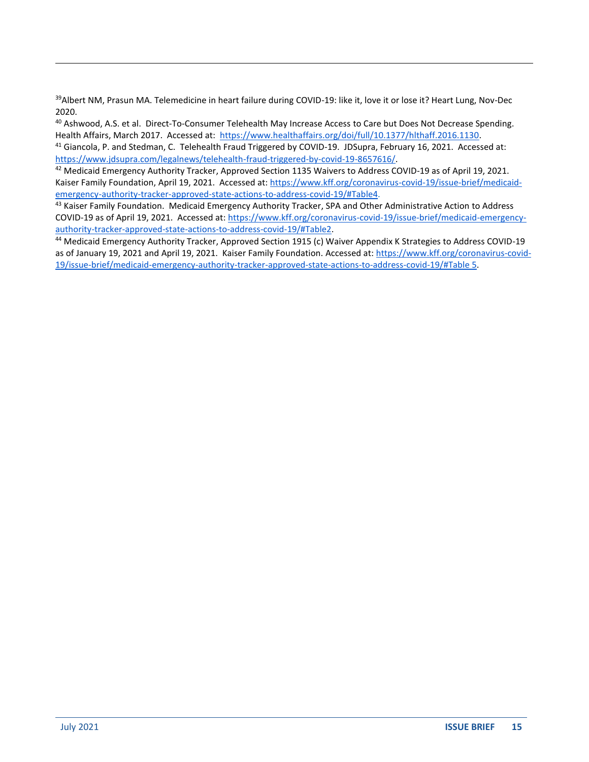<sup>39</sup>Albert NM, Prasun MA. Telemedicine in heart failure during COVID-19: like it, love it or lose it? Heart Lung, Nov-Dec 2020.

40 Ashwood, A.S. et al. Direct-To-Consumer Telehealth May Increase Access to Care but Does Not Decrease Spending. Health Affairs, March 2017. Accessed at: [https://www.healthaffairs.org/doi/full/10.1377/hlthaff.2016.1130.](https://www.healthaffairs.org/doi/full/10.1377/hlthaff.2016.1130) <sup>41</sup> Giancola, P. and Stedman, C. Telehealth Fraud Triggered by COVID-19. JDSupra, February 16, 2021. Accessed at: [https://www.jdsupra.com/legalnews/telehealth-fraud-triggered-by-covid-19-8657616/.](https://www.jdsupra.com/legalnews/telehealth-fraud-triggered-by-covid-19-8657616/)

<sup>42</sup> Medicaid Emergency Authority Tracker, Approved Section 1135 Waivers to Address COVID-19 as of April 19, 2021. Kaiser Family Foundation, April 19, 2021. Accessed at: [https://www.kff.org/coronavirus-covid-19/issue-brief/medicaid](https://www.kff.org/coronavirus-covid-19/issue-brief/medicaid-emergency-authority-tracker-approved-state-actions-to-address-covid-19/#Table4)[emergency-authority-tracker-approved-state-actions-to-address-covid-19/#Table4.](https://www.kff.org/coronavirus-covid-19/issue-brief/medicaid-emergency-authority-tracker-approved-state-actions-to-address-covid-19/#Table4)

43 Kaiser Family Foundation. Medicaid Emergency Authority Tracker, SPA and Other Administrative Action to Address COVID-19 as of April 19, 2021. Accessed at: [https://www.kff.org/coronavirus-covid-19/issue-brief/medicaid-emergency](https://www.kff.org/coronavirus-covid-19/issue-brief/medicaid-emergency-authority-tracker-approved-state-actions-to-address-covid-19/#Table2)[authority-tracker-approved-state-actions-to-address-covid-19/#Table2.](https://www.kff.org/coronavirus-covid-19/issue-brief/medicaid-emergency-authority-tracker-approved-state-actions-to-address-covid-19/#Table2)

<sup>44</sup> Medicaid Emergency Authority Tracker, Approved Section 1915 (c) Waiver Appendix K Strategies to Address COVID-19 as of January 19, 2021 and April 19, 2021. Kaiser Family Foundation. Accessed at: [https://www.kff.org/coronavirus-covid-](https://www.kff.org/coronavirus-covid-19/issue-brief/medicaid-emergency-authority-tracker-approved-state-actions-to-address-covid-19/#Table)[19/issue-brief/medicaid-emergency-authority-tracker-approved-state-actions-to-address-covid-19/#Table](https://www.kff.org/coronavirus-covid-19/issue-brief/medicaid-emergency-authority-tracker-approved-state-actions-to-address-covid-19/#Table) 5.